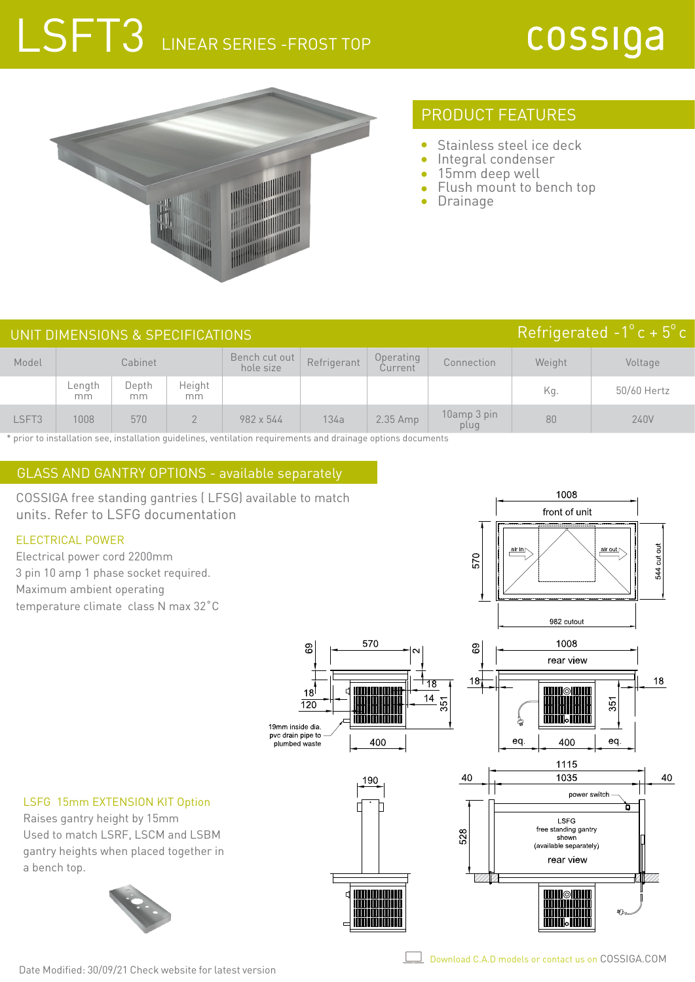# LSFT3 LINEAR SERIES -FROST TOP



# PRODUCT FEATURES

- $\bullet$ Stainless steel ice deck
- $\bullet$ Integral condenser
- 15mm deep well
- Flush mount to bench top  $\bullet$
- Drainage

|       | UNIT DIMENSIONS & SPECIFICATIONS | Refrigerated $-1^{\circ}$ c + $5^{\circ}$ c |               |                            |             |                      |                     |        |             |
|-------|----------------------------------|---------------------------------------------|---------------|----------------------------|-------------|----------------------|---------------------|--------|-------------|
| Model | Cabinet                          |                                             |               | Bench cut out<br>hole size | Refrigerant | Operating<br>Current | Connection          | Weight | Voltage     |
|       | Length<br>mm                     | Depth<br>mm                                 | Height<br>mm. |                            |             |                      |                     | Kq.    | 50/60 Hertz |
| LSFT3 | 1008                             | 570                                         |               | 982 x 544                  | 134a        | $2.35$ Amp           | 10amp 3 pin<br>plug | 80     | 240V        |

\* prior to installation see, installation guidelines, ventilation requirements and drainage options documents

### GLASS AND GANTRY OPTIONS - available separately

COSSIGA free standing gantries ( LFSG) available to match units. Refer to LSFG documentation

#### ELECTRICAL POWER

Electrical power cord 2200mm 3 pin 10 amp 1 phase socket required. Maximum ambient operating temperature climate class N max 32˚C



#### LSFG 15mm EXTENSION KIT Option

Raises gantry height by 15mm Used to match LSRF, LSCM and LSBM gantry heights when placed together in a bench top.



Date Modified: 30/09/21 Check website for latest version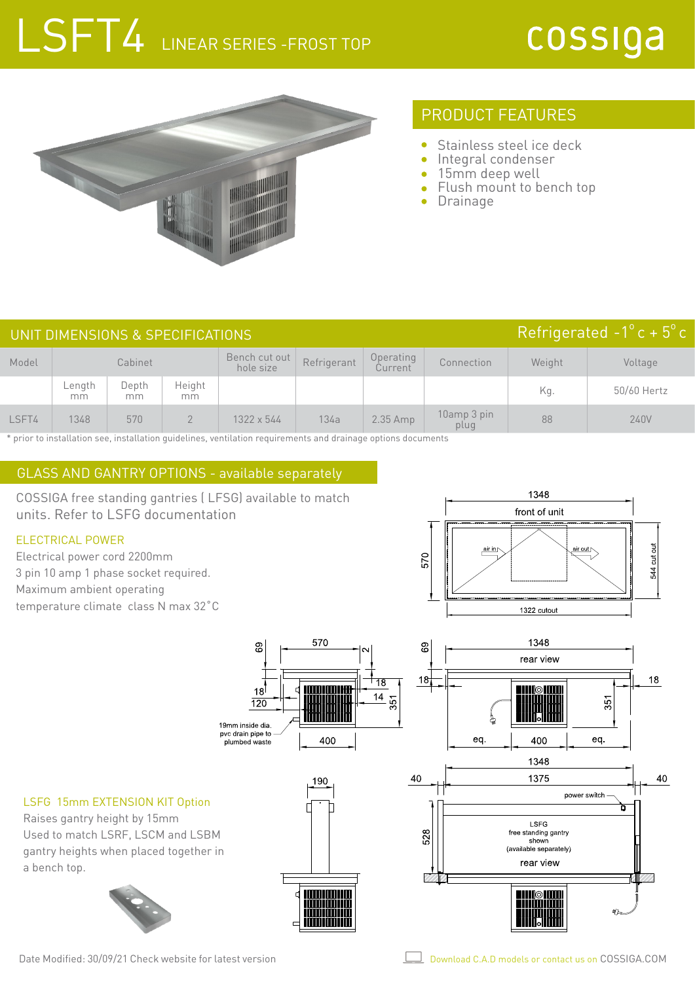# LSFT4 LINEAR SERIES - FROST TOP



### PRODUCT FEATURES

- $\bullet$ Stainless steel ice deck
- Integral condenser  $\bullet$
- 15mm deep well
- Flush mount to bench top
- Drainage

| Refrigerated $-1^{\circ}$ c + $5^{\circ}$ c<br>UNIT DIMENSIONS & SPECIFICATIONS |              |             |              |                            |             |                      |                     |        |             |  |
|---------------------------------------------------------------------------------|--------------|-------------|--------------|----------------------------|-------------|----------------------|---------------------|--------|-------------|--|
| Model                                                                           | Cabinet      |             |              | Bench cut out<br>hole size | Refrigerant | Operating<br>Current | Connection          | Weight | Voltage     |  |
|                                                                                 | Length<br>mm | Depth<br>mm | Height<br>mm |                            |             |                      |                     | Kg.    | 50/60 Hertz |  |
| LSFT4                                                                           | 1348         | 570         |              | 1322 x 544                 | 134a        | 2.35 Amp             | 10amp 3 pin<br>plug | 88     | 240V        |  |

\* prior to installation see, installation guidelines, ventilation requirements and drainage options documents

### GLASS AND GANTRY OPTIONS - available separately

COSSIGA free standing gantries ( LFSG) available to match units. Refer to LSFG documentation

#### ELECTRICAL POWER

Electrical power cord 2200mm 3 pin 10 amp 1 phase socket required. Maximum ambient operating temperature climate class N max 32˚C



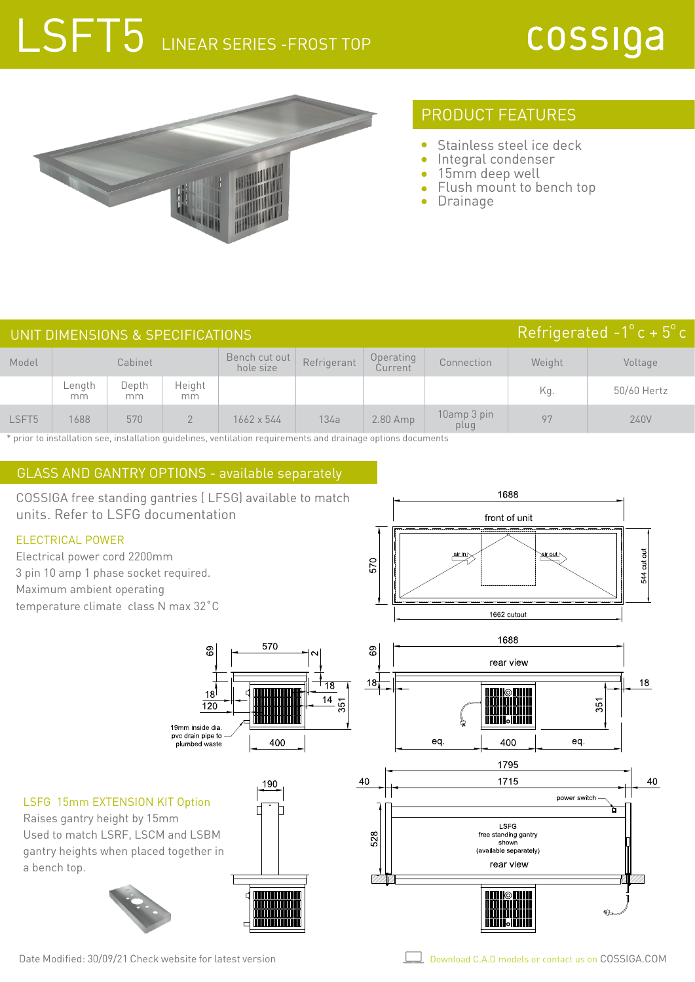# LSFT5 LINEAR SERIES - FROST TOP



# PRODUCT FEATURES

- $\bullet$ Stainless steel ice deck
- Integral condenser  $\bullet$
- 15mm deep well
- Flush mount to bench top
- Drainage

|                   | UNIT DIMENSIONS & SPECIFICATIONS | Refrigerated $-1^{\circ}$ c + 5° c |              |                            |             |                      |                     |        |             |
|-------------------|----------------------------------|------------------------------------|--------------|----------------------------|-------------|----------------------|---------------------|--------|-------------|
| Model             | Cabinet                          |                                    |              | Bench cut out<br>hole size | Refrigerant | Operating<br>Current | Connection          | Weight | Voltage     |
|                   | Length<br>mm                     | Depth<br>mm                        | Height<br>mm |                            |             |                      |                     | Kg.    | 50/60 Hertz |
| LSFT <sub>5</sub> | 1688                             | 570                                |              | 1662 x 544                 | 134a        | $2.80$ Amp           | 10amp 3 pin<br>plug | 97     | 240V        |

\* prior to installation see, installation guidelines, ventilation requirements and drainage options documents

### GLASS AND GANTRY OPTIONS - available separately

1688 COSSIGA free standing gantries ( LFSG) available to match units. Refer to LSFG documentation front of unit ELECTRICAL POWER  $\frac{\text{ar} \cdot n}{\text{ar}}$ 544 cut out Electrical power cord 2200mm **eir out** 570 3 pin 10 amp 1 phase socket required. Maximum ambient operating temperature climate class N max 32˚C 1662 cutout 1688 570 89 89 rear view  $18$ 18 ੀ 18  $18$  $14$ .<br>351 351  $\overline{120}$ ï. 19mm inside dia pvc drain pipe to<br>plumbed waste eq. 400 eq. 400 1795 1715 40 40 190 power switch LSFG 15mm EXTENSION KIT Option ਸ਼ Raises gantry height by 15mm LSFG Used to match LSRF, LSCM and LSBM free standing gantry 528 shown gantry heights when placed together in (available separately) rear view a bench top. 10

Date Modified: 30/09/21 Check website for latest version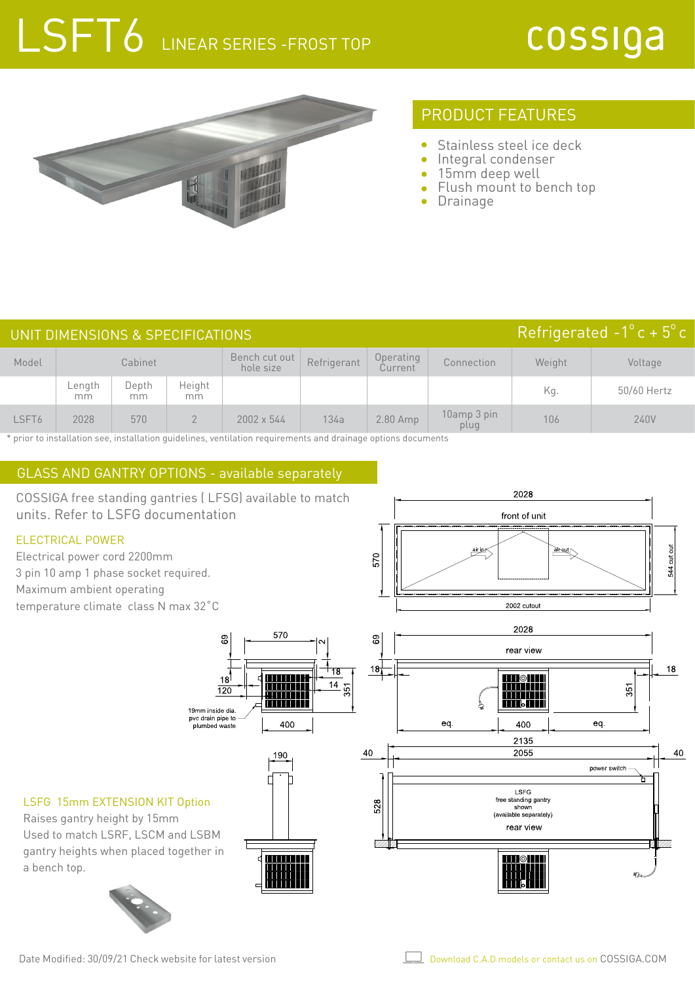# LSFT6 LINEAR SERIES - FROST TOP



# PRODUCT FEATURES

- Stainless steel ice deck
- Integral condenser  $\bullet$
- 15mm deep well
- Flush mount to bench top
- Drainage

|       | UNIT DIMENSIONS & SPECIFICATIONS | Refrigerated $-1^{\circ}$ c + 5° c |              |                            |             |                      |                     |        |             |
|-------|----------------------------------|------------------------------------|--------------|----------------------------|-------------|----------------------|---------------------|--------|-------------|
| Model | Cabinet                          |                                    |              | Bench cut out<br>hole size | Refrigerant | Operating<br>Current | Connection          | Weight | Voltage     |
|       | Length<br>mm                     | Depth<br>mm                        | Height<br>mm |                            |             |                      |                     | Kg.    | 50/60 Hertz |
| LSFT6 | 2028                             | 570                                |              | $2002 \times 544$          | 134a        | 2.80 Amp             | 10amp 3 pin<br>plug | 106    | 240V        |

\* prior to installation see, installation guidelines, ventilation requirements and drainage options documents

### GLASS AND GANTRY OPTIONS - available separately

COSSIGA free standing gantries ( LFSG) available to match units. Refer to LSFG documentation

#### ELECTRICAL POWER

Electrical power cord 2200mm 3 pin 10 amp 1 phase socket required. Maximum ambient operating temperature climate class N max 32˚C





Raises gantry height by 15mm Used to match LSRF, LSCM and LSBM gantry heights when placed together in a bench top.



Date Modified: 30/09/21 Check website for latest version